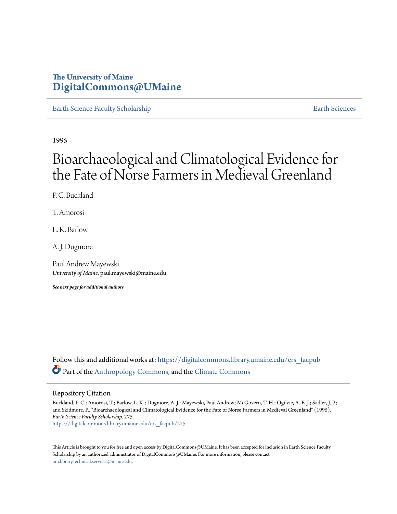# **The University of Maine [DigitalCommons@UMaine](https://digitalcommons.library.umaine.edu?utm_source=digitalcommons.library.umaine.edu%2Fers_facpub%2F275&utm_medium=PDF&utm_campaign=PDFCoverPages)**

[Earth Science Faculty Scholarship](https://digitalcommons.library.umaine.edu/ers_facpub?utm_source=digitalcommons.library.umaine.edu%2Fers_facpub%2F275&utm_medium=PDF&utm_campaign=PDFCoverPages) **[Earth Sciences](https://digitalcommons.library.umaine.edu/ers?utm_source=digitalcommons.library.umaine.edu%2Fers_facpub%2F275&utm_medium=PDF&utm_campaign=PDFCoverPages)** 

1995

# Bioarchaeological and Climatological Evidence for the Fate of Norse Farmers in Medieval Greenland

P. C. Buckland

T. Amorosi

L. K. Barlow

A. J. Dugmore

Paul Andrew Mayewski *University of Maine*, paul.mayewski@maine.edu

*See next page for additional authors*

Follow this and additional works at: [https://digitalcommons.library.umaine.edu/ers\\_facpub](https://digitalcommons.library.umaine.edu/ers_facpub?utm_source=digitalcommons.library.umaine.edu%2Fers_facpub%2F275&utm_medium=PDF&utm_campaign=PDFCoverPages) Part of the [Anthropology Commons](http://network.bepress.com/hgg/discipline/318?utm_source=digitalcommons.library.umaine.edu%2Fers_facpub%2F275&utm_medium=PDF&utm_campaign=PDFCoverPages), and the [Climate Commons](http://network.bepress.com/hgg/discipline/188?utm_source=digitalcommons.library.umaine.edu%2Fers_facpub%2F275&utm_medium=PDF&utm_campaign=PDFCoverPages)

### Repository Citation

Buckland, P. C.; Amorosi, T.; Barlow, L. K.; Dugmore, A. J.; Mayewski, Paul Andrew; McGovern, T. H.; Ogilvie, A. E. J.; Sadler, J. P.; and Skidmore, P., "Bioarchaeological and Climatological Evidence for the Fate of Norse Farmers in Medieval Greenland" (1995). *Earth Science Faculty Scholarship*. 275. [https://digitalcommons.library.umaine.edu/ers\\_facpub/275](https://digitalcommons.library.umaine.edu/ers_facpub/275?utm_source=digitalcommons.library.umaine.edu%2Fers_facpub%2F275&utm_medium=PDF&utm_campaign=PDFCoverPages)

This Article is brought to you for free and open access by DigitalCommons@UMaine. It has been accepted for inclusion in Earth Science Faculty Scholarship by an authorized administrator of DigitalCommons@UMaine. For more information, please contact [um.library.technical.services@maine.edu](mailto:um.library.technical.services@maine.edu).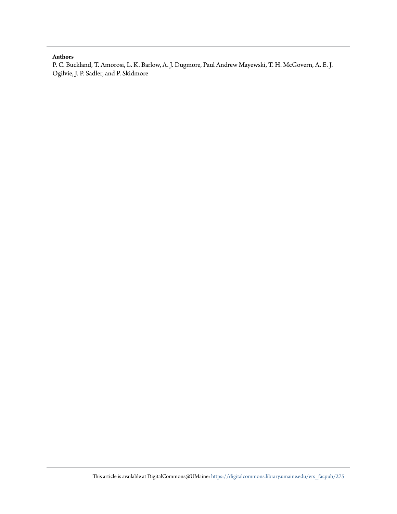### **Authors**

P. C. Buckland, T. Amorosi, L. K. Barlow, A. J. Dugmore, Paul Andrew Mayewski, T. H. McGovern, A. E. J. Ogilvie, J. P. Sadler, and P. Skidmore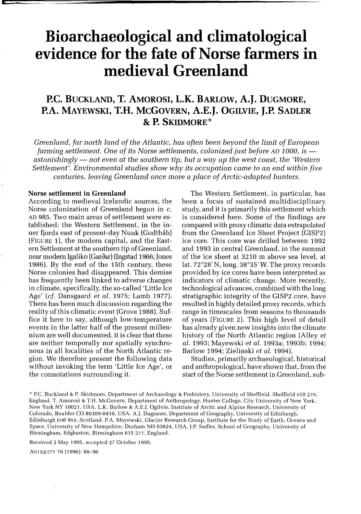# **Bioarchaeological and climatological evidence for the fate of Norse farmers in medieval Greenland**

## **P.C. BUCKLAND, T. AMOROSI, L.K. BARLOW, A. J. DUGMORE, P.A. MAYEWSKI, T.H. MCGOVERN, A.E.J. OGILVIE, J.P. SADLER & P. SKIDMORE\***

*Greenland, far north land of the Atlantic, has often been beyond the limit of European farming settlement. One of its Norse settlements, colonized just before AD 1000, is* astonishingly — not even at the southern tip, but a way up the west coast, the 'Western *Settlement'. Environmental studies show why its occupation came* to *an end within five centuries, leaving Greenland once more a place of Arctic-adapted hunters.* 

#### **Norse settlement in Greenland**

**c** 

According to medieval Icelandic sources, the Norse colonization of Greenland begun in c. AD 985. Two main areas of settlement were established: the Western Settlement, in the inner fjords east of present-day Nuuk (Godthab) (FIGURE 1), the modern capital, and the Eastern Settlement at the southern tip of Greenland, near modern Igaliko (Garðar) (Ingstad 1966; Jones 1986). By the end of the 15th century, these Norse colonies had disappeared. This demise has frequently been linked to adverse changes in climate, specifically, the so-called 'Little Ice Age' *(cf.* Dansgaard *et 01.* 1975; Lamb 1977). There has been much discussion regarding the reality of this climatic event (Grove 1988). Suffice it here to say, although low-temperature events in the latter half of the present millennium are well documented, it is clear that these are neither temporally nor spatially synchronous in all localities of the North Atlantic region. We therefore present the following data without invoking the term 'Little Ice Age', or the connotations surrounding it.

The Western Settlement, in particular, has been a focus of sustained multidisciplinary study, and it is primarily this settlement which is considered here. Some of the findings are compared with proxy climatic data extrapolated from the Greenland Ice Sheet Project (GISP2) ice core. This core was drilled between 1992 and 1993 in central Greenland, in the summit of the ice sheet at 3210 m above sea level, at lat. 72°28' N, long. 38°35' W. The proxy records provided by ice cores have been interpreted as indicators of climatic change. More recently, technological advances, combined with the long stratigraphic integrity of the GISP2 core, have resulted in highly detailed proxy records, which range in timescales from seasons to thousands of years (FIGURE 2). This high level of detail has already given new insights into the climate history of the North Atlantic region (Alley *et 01.1993;* Mayewski *et 01.* 1993a; 1993b; 1994; Barlow 1994; Zielinski *et 01. 1994).* 

Studies, primarily archaeological, historical and anthropological, have shown that, from the start of the Norse settlement in Greenland, sub-

\* Pc. Buckland & P Skidmore. Department of Archaeology & Prehistory, University of Sheffield. Sheffield S10 2TN. England. T. Amorosi & T.H. McGovern. Department of Anthropology. Hunter College. City University of New York, New York NY 10021, USA. L.K. Barlow & A.E.). Ogilvie. Institute of Arctic and Alpine Research. University of Colorado, Boulder CO 80309-0410. USA. A.). Dugmore. Department of Geography, University of Edinburgh. Edinburgh EH8 9XB, Scotland. P.A. Mayewski, Glacier Research Group, Institute for the Study of Earth, Oceans and Space, University of New Hampshire, Durham NH 03824, USA. ).P. Sadler, School of Geography, University of Birmingham, Edgbaston, Birmingham 815 2TT, England.

Received 2 May 1995, accepted 27 October 1995.

ANTIQUITY 70 (1996): 88-96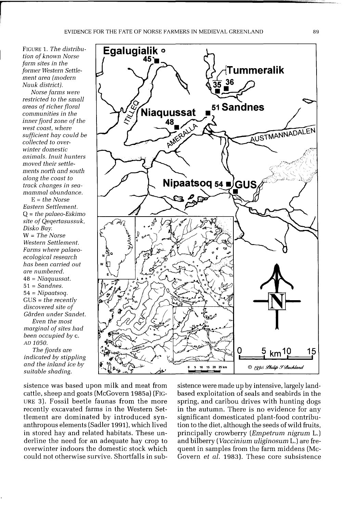FIGURE 1. *The distribution of known Norse farm sites in the former Western Settlement* area *(modern Nuuk district).* 

r

*Norse farms were restricted to the small*  areas *of richer floral communities in the inner fjord zone of the west coast, where sufficient hay could be collected to overwinter domestic animals. Inuit hunters moved their settlements north and south along the coast to track changes in seamammal abundance.* 

E = *the Norse Eastern Settlement.*  Q = *the palaeo-Eskimo site of Qeqertasussuk, Disko Bay.*  W = *The Norse Western Settlement. Farms where palaeoecological research has been carried out*  are *numbered.*  48 = *Niaquussat.*  51 = *Sandnes.*  54 = *Nipaatsoq.*  GUS = *the recently discovered site of Garden under Sandet.* 

*Even the most marginal of sites had been occupied by* c. AD *1050.* 

*The fjords* are *indicated by stippling and the inland ice by suitable shading.* 



sistence was based upon milk and meat from cattle, sheep and goats (McGovern 1985a) (FIG-URE 3). Fossil beetle faunas from the more recently excavated farms in the Western Settlement are dominated by introduced synanthropous elements (Sadler 1991), which lived in stored hay and related habitats. These underline the need for an adequate hay crop to overwinter indoors the domestic stock which could not otherwise survive. Shortfalls in subsistence were made up by intensive, largely landbased exploitation of seals and seabirds in the spring, and caribou drives with hunting dogs in the autumn. There is no evidence for any significant domesticated plant-food contribution to the diet, although the seeds of wild fruits, principally crowberry *(Empetrum nigrum* 1.) and bilberry *(Vaccinium uliginosum L.)* are frequent in samples from the farm middens (Mc-Govern *et al.* 1983). These core subsistence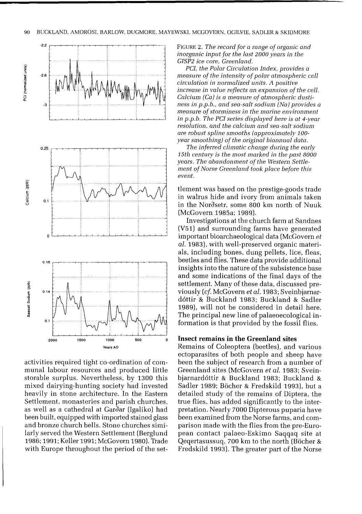

activities required tight co-ordination of communal labour resources and produced little storable surplus. Nevertheless, by 1300 this mixed dairying-hunting society had invested heavily in stone architecture. In the Eastern Settlement, monasteries and parish churches, as well as a cathedral at Gardar (Igaliko) had been built, equipped with imported stained glass and bronze church bells. Stone churches similarly served the Western Settlement (Berglund 1986; 1991; Keller 1991; McGovern 1980). Trade with Europe throughout the period of the setFIGURE 2. *The record for a range of organic and inorganic input for the last 2000 years in the GISP2 ice core, Greenland.* 

*PCI. the Polar Circulation Index, provides a measure of the intensity of polar atmospheric cell circulation in normalized units. A positive increase in value reflects an expansion of the cell. Calcium (Ca)* is *a measure of atmospheric dustiness in p.p.b., and sea-salt sodium (Na) provides a measure of storminess in the marine environment in p.p.b. The PCI series displayed here is at 4-year resolution, and the calcium and sea-salt sodium are robust spline smooths (approximately 100 year smoothing) of the original biannual data.* 

*The inferred climatic change during the early 15th century is the most marked in the past 8000 years. The abandonment of the Western Settlement of Norse Greenland took place before this event.* 

tlement was based on the prestige-goods trade in walrus hide and ivory from animals taken in the Nordsetr, some 800 km north of Nuuk (McGovern 1985a; 1989).

Investigations at the church farm at Sandnes (V51) and surrounding farms have generated important bioarchaeological data (McGovern *et aI.* 1983), with well-preserved organic materials, including bones, dung pellets, lice, fleas, beetles and flies. These data provide additional insights into the nature of the subsistence base and some indications of the final days of the settlement. Many of these data, discussed previously *(ef.* McGovern *et aI.* 1983; Sveinbjarnard6ttir & Buckland 1983; Buckland & Sadler 1989), will not be considered in detail here, The principal new line of palaeoecological information is that provided by the fossil flies.

#### **Insect remains in the Greenland sites**

Remains of Coleoptera (beetles), and various ectoparasites of both people and sheep have been the subject of research from a number of Greenland sites (McGovern *et aI.* 1983; Sveinbjarnard6ttir & Buckland 1983; Buckland & Sadler 1989; Böcher & Fredskild 1993), but a detailed study of the remains of Diptera, the true flies, has added significantly to the interpretation. Nearly 7000 Dipterous puparia have been examined from the Norse farms, and comparison made with the flies from the pre-European contact palaeo-Eskimo Saqqaq site at Qeqertasussuq, 700 km to the north (Böcher & Fredskild 1993). The greater part of the Norse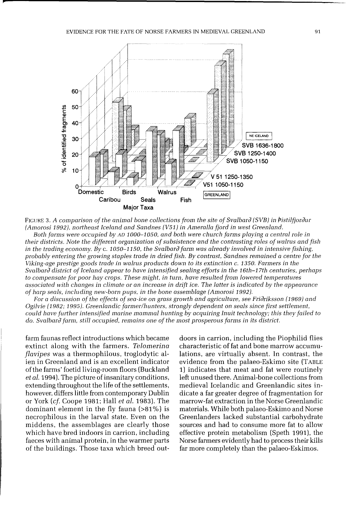**p** 



FIGURE 3. A comparison of the animal bone collections from the site of Svalbard (SVB) in *Pistilfjordur (Amorosi* 1992), *northeast Iceland and Sandnes (V51)* in *Ameralla fjord* in *west Greenland.* 

*Both farms were occupied by* AD *1000-1050, and both were church farms playing* a *central role* in *their districts. Note the different* organization *of subsistence and the contrasting roles of walrus and fish*  in the trading economy. By c. 1050-1150, the Svalbard farm was already involved in intensive fishing, *probably entering the growing staples trade* in *dried fish. By contrast, Sandnes remained* a *centre for the Viking-age prestige goods trade in walrus products down to its extinction* c. *1350.* Farmers in *the Svalbar(} district of Iceland appear to have intensified sealing efforts* in *the 16th-17th centuries, perhaps to compensate for poor hay crops. These might,* in turn, *have resulted from lowered temperatures associated with changes* in *cJimate* or an *increase* in *drift ice. The latter* is *indicated by the appearance of harp seals, including new-born pups,* in *the bone assemblage (Amorosi 1992).* 

For a discussion of the effects of sea-ice on grass growth and agriculture, see Fridriksson (1969) and *Ogilvie* (1982; 1995). *Greenlandic farmer/hunters, strongly dependent* on *seals since first settlement, could have further intensified* marine *mammal hunting by* acquiring *Inuit technology; this they failed to do. Svalbaril farm, still occupied,* remains *one of the most prosperous farms* in *its district.* 

farm faunas reflect introductions which became extinct along with the farmers. *Teiomerina Jiavipes* was a thermophilous, troglodytic alien in Greenland and is an excellent indicator of the farms' foetid living-room floors (Buckland *et 01.* 1994). The picture of insanitary conditions, extending throughout the life of the settlements, however, differs little from contemporary Dublin or York *(cf.* Coope 1981; Hall *et 01.1983).* The dominant element in the fly fauna (>81 %) is necrophilous in the larval state. Even on the middens, the assemblages are clearly those which have bred indoors in carrion, including faeces with animal protein, in the warmer parts of the buildings. Those taxa which breed outdoors in carrion, including the Piophilid flies characteristic of fat and bone marrow accumulations, are virtually absent. In contrast, the evidence from the palaeo-Eskimo site (TABLE 1) indicates that meat and fat were routinely left unused there. Animal-bone collections from medieval Icelandic and Greenlandic sites indicate a far greater degree of fragmentation for marrow-fat extraction in the Norse Greenlandic materials. While both palaeo-Eskimo and Norse Greenlanders lacked substantial carbohydrate sources and had to consume more fat to allow effective protein metabolism (Speth 1991), the Norse farmers evidently had to process their kills far more completely than the palaeo-Eskimos.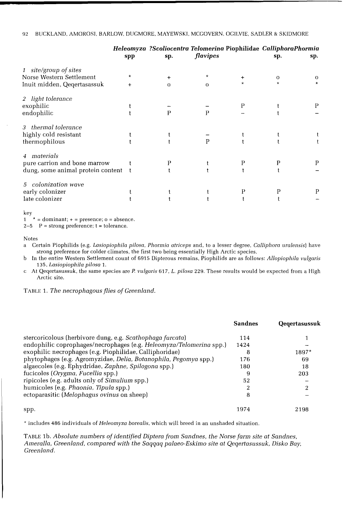|                                   |           |          |              |   | Heleomyza ?Scoliocentra Telomerina Piophilidae CalliphoraPhormia |          |
|-----------------------------------|-----------|----------|--------------|---|------------------------------------------------------------------|----------|
|                                   | spp       | sp.      | flavipes     |   | sp.                                                              | sp.      |
| 1 site/group of sites             |           |          |              |   |                                                                  |          |
| Norse Western Settlement          | *         | +        | $^\star$     | ÷ | Ω                                                                | $\Omega$ |
| Inuit midden, Qeqertasassuk       | $\ddot{}$ | $\Omega$ | $\mathbf{O}$ |   |                                                                  |          |
| 2 light tolerance                 |           |          |              |   |                                                                  |          |
| exophilic                         |           |          |              | P |                                                                  | P        |
| endophilic                        |           | P        | P            |   |                                                                  |          |
| 3 thermal tolerance               |           |          |              |   |                                                                  |          |
| highly cold resistant             |           |          |              |   |                                                                  |          |
| thermophilous                     |           |          | P            |   |                                                                  |          |
| 4 materials                       |           |          |              |   |                                                                  |          |
| pure carrion and bone marrow      |           |          |              | P | Ρ                                                                |          |
| dung, some animal protein content |           |          |              |   |                                                                  |          |
| 5 colonization wave               |           |          |              |   |                                                                  |          |
| early colonizer                   |           |          |              | Р |                                                                  |          |
| late colonizer                    |           |          |              |   |                                                                  |          |

key<br>1

 $* =$  dominant;  $+ =$  presence;  $o =$  absence.

 $2-5$  P = strong preference; t = tolerance.

Notes

a Certain Piophilids (e.g. *LasiopiophiJa piJosa, Phormia atriceps* and, to a lesser degree, *Calliphora uralensis)* have strong preference for colder climates, the first two being essentially High Arctic species.

b In the entire Western Settlement count of 6915 Dipterous remains, Piophilids are as follows: *AllopiophiJa vulgaris 135, LasiopiophiJa pilosa 1.* 

c At Qeqertasussuk, the same species are *P. vulgaris* 617, *L. pilosa* 229. These results would be expected from a High Arctic site.

TABLE 1. *The necrophagous flies of Greenland.* 

|                                                                     | <b>Sandnes</b> | Qegertasussuk |
|---------------------------------------------------------------------|----------------|---------------|
| stercoricolous (herbivore dung, e.g. Scathophaga furcata)           | 114            |               |
| endophilic coprophages/necrophages (e.g. Heleomyza/Telomerina spp.) | 1424           |               |
| exophilic necrophages (e.g. Piophilidae, Calliphoridae)             | 8              | 1897*         |
| phytophages (e.g. Agromyzidae, Delia, Botanophila, Pegomya spp.)    | 176            | -69           |
| algaecoles (e.g. Ephydridae, Zaphne, Spilogona spp.)                | 180            | 18            |
| fucicoles (Orygma, Fucellia spp.)                                   | 9              | 203           |
| ripicoles (e.g. adults only of Simulium spp.)                       | 52             |               |
| humicoles (e.g. Phaonia, Tipula spp.)                               | 2              |               |
| ectoparasitic (Melophagus ovinus on sheep)                          | 8              |               |
| spp.                                                                | 1974           | 2198          |

\* includes 486 individuals of *Heleomyza borealis*, which will breed in an unshaded situation.

TABLE lb. *Absolute numbers of identified Diptera from Sandnes, the Norse farm site at Sandnes, AmeraJ1a, Greenland, compared with the Saqqaq palaeo-Eskimo site at Qeqertasussuk, Disko Bay, Greenland.*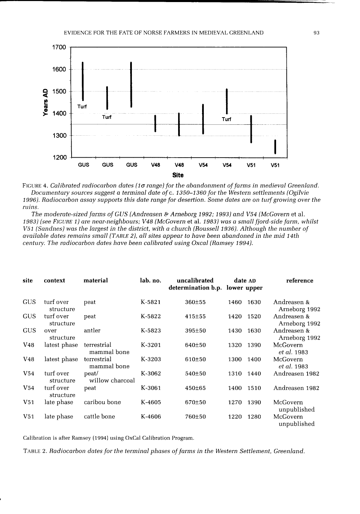

FIGURE 4. *Calibrated radiocarbon dates (10 range) for the abandonment of farms in medieval Greenland. Documentary sources suggest* a *terminal date of* c. *1350-1360 for the Western settlements (Ogilvie 1996). Radiocarbon assay supports this date range for desertion. Some dates are on turf growing over the ruins.* 

*The moderate-sized farms of GUS {Andreasen* & *Arneborg* 1992; 1993} *and V54 (McGovern* et al. 1983) (see FIGURE 1) are near-neighbours; V48 (McGovern et al. 1983) was a small fjord-side farm, whilst *V51 {Sandnes} was the largest in the district, with* a *church {Roussell* 1936}. *Although the number of available dates remains small (TABLE* 2), *all sites appear to have been abandoned in the mid 14th century. The radiocarbon dates have been calibrated using Oxcal (Ramsey 1994).* 

| site            | context                | material                   | lab. no. | uncalibrated<br>determination b.p. lower upper | date AD |      | reference                    |  |
|-----------------|------------------------|----------------------------|----------|------------------------------------------------|---------|------|------------------------------|--|
| GUS             | turf over<br>structure | peat                       | K-5821   | 360±55                                         | 1460    | 1630 | Andreasen &<br>Arneborg 1992 |  |
| GUS             | turf over<br>structure | peat                       | K-5822   | $415 + 55$                                     | 1420    | 1520 | Andreasen &<br>Arneborg 1992 |  |
| <b>GUS</b>      | over<br>structure      | antler                     | K-5823   | 395±50                                         | 1430    | 1630 | Andreasen &<br>Arneborg 1992 |  |
| V48             | latest phase           | terrestrial<br>mammal bone | K-3201   | 640±50                                         | 1320    | 1390 | McGovern<br>et al. 1983      |  |
| V <sub>48</sub> | latest phase           | terrestrial<br>mammal bone | K-3203   | 610±50                                         | 1300    | 1400 | McGovern<br>et al. 1983      |  |
| V <sub>54</sub> | turf over<br>structure | peat/<br>willow charcoal   | K-3062   | 540±50                                         | 1310    | 1440 | Andreasen 1982               |  |
| V54             | turf over<br>structure | peat                       | K-3061   | 450±65                                         | 1400    | 1510 | Andreasen 1982               |  |
| V <sub>51</sub> | late phase             | caribou bone               | K-4605   | 670±50                                         | 1270    | 1390 | McGovern<br>unpublished      |  |
| V <sub>51</sub> | late phase             | cattle bone                | K-4606   | 760±50                                         | 1220    | 1280 | McGovern<br>unpublished      |  |

Calibration is after Ramsey (1994) using OxCai Calibration Program.

TABLE 2. *Radiocarbon dates for the terminal phases of farms in the Western Settlement. Greenland.*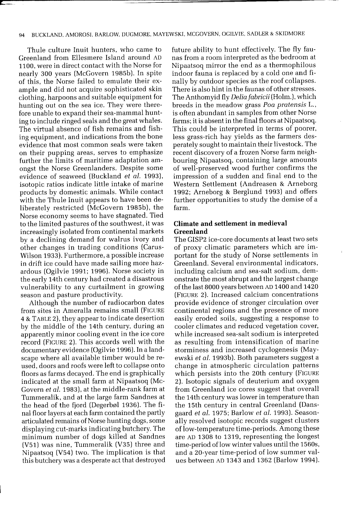#### 94 BUCKLAND, AMOROSI, BARLOW, DUGMORE, MAYEWSKI, MCGOVERN, OGILVIE, SADLER & SKIDMORE

Thule culture Inuit hunters, who came to Greenland from Ellesmere Island around AD 1100, were in direct contact with the Norse for nearly 300 years (McGovern 1985b), In spite of this, the Norse failed to emulate their example and did not acquire sophisticated skin clothing, harpoons and suitable equipment for hunting out on the sea ice, They were therefore unable to expand their sea-mammal hunting to include ringed seals and the great whales, The virtual absence of fish remains and fishing equipment, and indications from the bone evidence that most common seals were taken on their pupping areas, serves to emphasize further the limits of maritime adaptation amongst the Norse Greenlanders. Despite some evidence of seaweed (Buckland *et ai. 1993),*  isotopic ratios indicate little intake of marine products by domestic animals. While contact with the Thule Inuit appears to have been deliberately restricted (McGovern 1985b), the Norse economy seems to have stagnated. Tied to the limited pastures of the southwest, it was increasingly isolated from continental markets by a declining demand for walrus ivory and other changes in trading conditions (Carus-Wilson 1933). Furthermore, a possible increase in drift ice could have made sailing more hazardous (Ogilvie 1991; 1996). Norse society in the early 14th century had created a disastrous vulnerability to any curtailment in growing season and pasture productivity.

Although the number of radiocarbon dates from sites in Ameralla remains small (FIGURE 4 & TABLE 2), they appear to indicate desertion by the middle of the 14th century, during an apparently minor cooling event in the ice core record (FIGURE 2). This accords well with the documentary evidence (Ogilvie 1996). In a landscape where all available timber would be reused, doors and roofs were left to collapse onto floors as farms decayed. The end is graphically indicated at the small farm at Nipaatsoq (Mc-Govern *et ai.* 1983), at the middle-rank farm at Tummeralik, and at the large farm Sandnes at the head of the fjord (Degerbøl 1936). The final floor layers at each farm contained the partly articulated remains of Norse hunting dogs, some displaying cut-marks indicating butchery. The minimum number of dogs killed at Sandnes (V51) was nine, Tummeralik (V35) three and Nipaatsoq (V54) two. The implication is that this butchery was a desperate act that destroyed future ability to hunt effectively. The fly faunas from a room interpreted as the bedroom at Nipaatsoq mirror the end as a thermophilous indoor fauna is replaced by a cold one and finally by outdoor species as the roof collapses. There is also hint in the faunas of other stresses. The Anthom yid fly *Deiia fabricii* (Holm.), which breeds in the meadow grass *Poa pratensis* L., is often abundant in samples from other Norse farms; it is absent in the final floors at Nipaatsoq. This could be interpreted in terms of poorer, less grass-rich hay yields as the farmers desperately sought to maintain their livestock. The recent discovery of a frozen Norse farm neighbouring Nipaatsoq, containing large amounts of well-preserved wood further confirms the impression of a sudden and final end to the Western Settlement (Andreasen & Arneborg 1992; Arneborg & Berglund 1993) and offers further opportunities to study the demise of a farm.

## **Climate and settlement in medieval Greenland**

The GISP2 ice-core documents at least two sets of proxy climatic parameters which are important for the study of Norse settlements in Greenland. Several environmental indicators, including calcium and sea-salt sodium, demonstrate the most abrupt and the largest change of the last 8000 years between AD 1400 and 1420 (FIGURE 2). Increased calcium concentrations provide evidence of stronger circulation over continental regions and the presence of more easily eroded soils, suggesting a response to cooler climates and reduced vegetation cover, while increased sea-salt sodium is interpreted as resulting from intensification of marine storminess and increased cyclogenesis (Mayewski *et ai.* 1993b). Both parameters suggest a change in atmospheric circulation patterns which persists into the 20th century (FIGURE 2). Isotopic signals of deuterium and oxygen from Greenland ice cores suggest that overall the 14th century was lower in temperature than the 15th century in central Greenland (Dansgaard *et ai.* 1975; Barlow *et ai.* 1993). Seasonally resolved isotopic records suggest clusters oflow-temperature time-periods. Among these are AD 1308 to 1319, representing the longest time-period of low winter values until the 1560s, and a 20-year time-period of low summer values between AD 1343 and 1362 (Barlow 1994).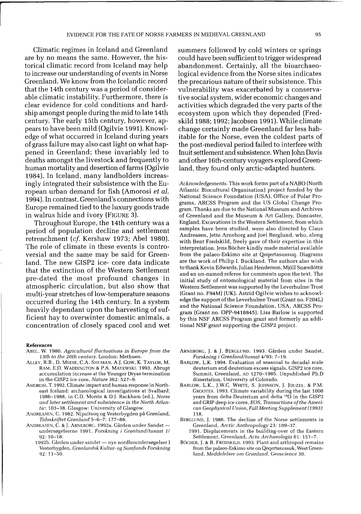Climatic regimes in Iceland and Greenland are by no means the same. However, the historical climatic record from Iceland may help to increase our understanding of events in Norse Greenland. We know from the Icelandic record that the 14th century was a period of considerable climatic instability. Furthermore, there is clear evidence for cold conditions and hardship amongst people during the mid to late 14th century. The early 15th century, however, appears to have been mild (Ogilvie 1991). Knowledge of what occurred in Iceland during years of grass failure may also cast light on what happened in Greenland; these invariably led to deaths amongst the livestock and frequently to human mortality and desertion of farms (Ogilvie 1984). In Iceland, many landholders increasingly integrated their subsistence with the European urban demand for fish (Amorosi *et al.*  1994). In contrast, Greenland's connections with Europe remained tied to the luxury goods trade in walrus hide and ivory (FIGURE 3).

Throughout Europe, the 14th century was a period of population decline and settlement retrenchment *(cf.* Kershaw 1973; Abel 1980). The role of climate in these events is controversial and the same may be said for Greenland. The new GISP2 ice- core data indicate that the extinction of the Western Settlement pre-dated the most profound changes in atmospheric circulation, but also show that multi-year stretches of low-temperature seasons occurred during the 14th century. In a system heavily dependant upon the harvesting of sufficient hay to overwinter domestic animals, a concentration of closely spaced cool and wet

#### References

- ABEL. W. 1980. *Agricultural fluctuations in Europe from the 13th to the 20th century.* London: Methuen.
- ALLEY. R.B .. D. MEESE. C.A. SHUMAN, A.J. GOW. K. TAYLOR, M. RAM, E.D. WADDINGTON & P.A. MAYEWSKI. 1993. Abrupt accumulation increase at the Younger Dryas termination in the GISP2 ice core, *Nature* 362: 527-9.
- AMOROSI. T. 1992. Climate impact and human response in Northeast Iceland: archaeological investigations at Svalbard, 1986-1988, in *CD.* Morris & D.J. Rackham (ed.), *Norse and later settlement and subsistence in the North Atlan-*
- *tic:* 103-38. Glasgow: University of Glasgow. ANDREASEN. C. 1982. Nipaitsoq og Vesterbygden pa Gronland, *Tidsskriftet Gmnland* 5-6-7: 177-88.
- ANDREASEN, C. & J. ARNEBORG. 1992a. Gården under Sandetundersøgelserne 1991, *Forskning i Grønland/tusaat 1*/ 92: 10-18.
	- 1992b. Gården under sandet nye nordboundersøgelser I Vesterbygden, *Gmnlandsk Kultur-* og *Samfunds Forskning*  92: 11-50.

summers followed by cold winters or springs could have been sufficient to trigger widespread abandonment. Certainly, all the bioarchaeological evidence from the Norse sites indicates the precarious nature of their subsistence. This vulnerability was exacerbated by a conservative social system, wider economic changes and activities which degraded the very parts of the ecosystem upon which they depended (Fredskild 1988; 1992; Jacobsen 1991). While climate change certainly made Greenland far less habitable for the Norse, even the coldest parts of the post-medieval period failed to interfere with Inuit settlement and subsistence. When John Davis and other 16th-century voyagers explored Greenland, they found only arctic-adapted hunters.

*Acknowledgements.* This work forms part of a NABO (North Atlantic Biocultural Organisation) project funded by the National Science Foundation (USA), Office of Polar Programs. ARCSS Program and the US Global Change Program. Thanks are due to the National Museum and Archives of Greenland and the Museum & Art Gallery. Doncaster, England. Excavations in the Western Settlement, from which samples have been studied, were also directed by Claus Andreasen, Jette Arneborg and Joel Berglund. who, along with Bent Fredskild. freely gave of their expertise in this interpretation. Jens Böcher kindly made material available from the palaeo-Eskimo site at Qeqertasussuq. Diagrams are the work of Philip I. Buckland. The authors also wish to thank Kevin Edwards, Julian Henderson, Mjöll Snæsdóttir and an un-named referee for comments upon the text. The initial study of entomological material from sites in the Western Settlement was supported by the Leverhulme Trust (Grant no. F94M) (UK). Astrid Ogilvie wishes to acknowledge the support of the Leverhulme Trust (Grant no. F204L) and the National Science Foundation, USA, ARCSS Program (Grant no. OPP-9418845). Lisa Barlow is supported by this NSF ARCSS Program grant and formerly an additional NSF grant supporting the GISP2 project.

- ARNEBORG, J. & J. BERGLUND. 1993. Garden under Sandet, *Forskning i Gmnlandltusaat* 4/93: 7-19.
- BARLOW, L.K. 1994. Evaluation of seasonal to decadal scale deuterium and deuterium excess signals, GISP2 ice core, Summit, Greenland, AD 1270-1985. Unpublished Ph.D dissertation, University of Colorado.
- BARLOW, L.K., j.W.C. WHITE, S. JOHNSON, j. JOUZEL. & P.M. GRODTES. 1993. Climate variability during the last 1000 years from delta Deuterium and delta <sup>18</sup>O in the GISP2 and GRIP deep ice cores, *EOS, Transactions of the American Geophysical Union, Fall Meeting Supplement* (1993): 118.
- BERGLUND, J. 1986. The decline of the Norse settlements in Greenland, *Arctic Anthropology* 23: 109-37.
	- 1991. Displacements in the building-over of the Eastern Settlement, Greenland, *Acta Archaeologia* 61: 151-7.
- BÖCHER, J. & B. FREDSKILD. 1993. Plant and arthropod remains from the palaeo-Eskimo site on Qeqertasussuk, West Greenland, *Meddelelser om Grønland, Geoscience* 30.